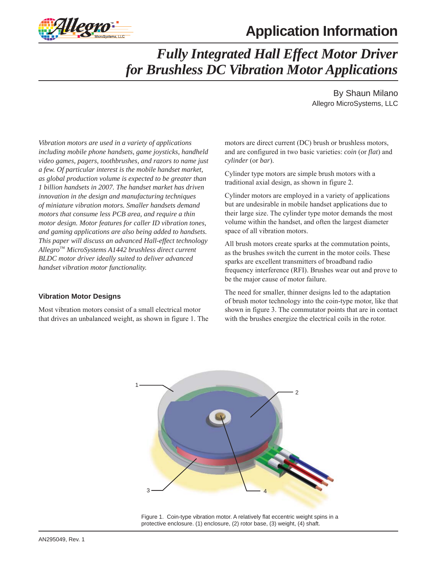



# *Fully Integrated Hall Effect Motor Driver for Brushless DC Vibration Motor Applications*

By Shaun Milano Allegro MicroSystems, LLC

*Vibration motors are used in a variety of applications including mobile phone handsets, game joysticks, handheld video games, pagers, toothbrushes, and razors to name just a few. Of particular interest is the mobile handset market, as global production volume is expected to be greater than 1 billion handsets in 2007. The handset market has driven innovation in the design and manufacturing techniques of miniature vibration motors. Smaller handsets demand motors that consume less PCB area, and require a thin motor design. Motor features for caller ID vibration tones, and gaming applications are also being added to handsets. This paper will discuss an advanced Hall-effect technology Allegro™ MicroSystems A1442 brushless direct current BLDC motor driver ideally suited to deliver advanced handset vibration motor functionality.*

## **Vibration Motor Designs**

Most vibration motors consist of a small electrical motor that drives an unbalanced weight, as shown in figure 1. The motors are direct current (DC) brush or brushless motors, and are configured in two basic varieties: *coin* (or *flat*) and *cylinder* (or *bar*).

Cylinder type motors are simple brush motors with a traditional axial design, as shown in figure 2.

Cylinder motors are employed in a variety of applications but are undesirable in mobile handset applications due to their large size. The cylinder type motor demands the most volume within the handset, and often the largest diameter space of all vibration motors.

All brush motors create sparks at the commutation points, as the brushes switch the current in the motor coils. These sparks are excellent transmitters of broadband radio frequency interference (RFI). Brushes wear out and prove to be the major cause of motor failure.

The need for smaller, thinner designs led to the adaptation of brush motor technology into the coin-type motor, like that shown in figure 3. The commutator points that are in contact with the brushes energize the electrical coils in the rotor.



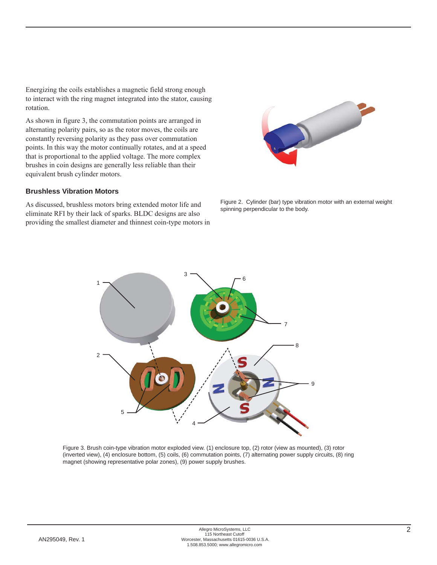Energizing the coils establishes a magnetic field strong enough to interact with the ring magnet integrated into the stator, causing rotation.

As shown in figure 3, the commutation points are arranged in alternating polarity pairs, so as the rotor moves, the coils are constantly reversing polarity as they pass over commutation points. In this way the motor continually rotates, and at a speed that is proportional to the applied voltage. The more complex brushes in coin designs are generally less reliable than their equivalent brush cylinder motors.

### **Brushless Vibration Motors**

As discussed, brushless motors bring extended motor life and eliminate RFI by their lack of sparks. BLDC designs are also providing the smallest diameter and thinnest coin-type motors in



Figure 2. Cylinder (bar) type vibration motor with an external weight spinning perpendicular to the body.



Figure 3. Brush coin-type vibration motor exploded view. (1) enclosure top, (2) rotor (view as mounted), (3) rotor (inverted view), (4) enclosure bottom, (5) coils, (6) commutation points, (7) alternating power supply circuits, (8) ring magnet (showing representative polar zones), (9) power supply brushes.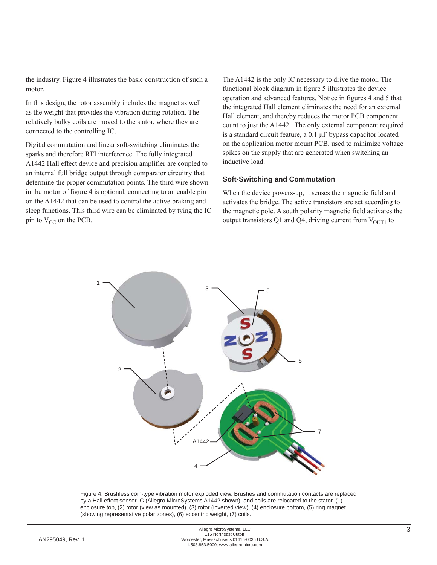the industry. Figure 4 illustrates the basic construction of such a motor.

In this design, the rotor assembly includes the magnet as well as the weight that provides the vibration during rotation. The relatively bulky coils are moved to the stator, where they are connected to the controlling IC.

Digital commutation and linear soft-switching eliminates the sparks and therefore RFI interference. The fully integrated A1442 Hall effect device and precision amplifier are coupled to an internal full bridge output through comparator circuitry that determine the proper commutation points. The third wire shown in the motor of figure 4 is optional, connecting to an enable pin on the A1442 that can be used to control the active braking and sleep functions. This third wire can be eliminated by tying the IC pin to  $V_{CC}$  on the PCB.

The A1442 is the only IC necessary to drive the motor. The functional block diagram in figure 5 illustrates the device operation and advanced features. Notice in figures 4 and 5 that the integrated Hall element eliminates the need for an external Hall element, and thereby reduces the motor PCB component count to just the A1442. The only external component required is a standard circuit feature, a 0.1 μF bypass capacitor located on the application motor mount PCB, used to minimize voltage spikes on the supply that are generated when switching an inductive load.

#### **Soft-Switching and Commutation**

When the device powers-up, it senses the magnetic field and activates the bridge. The active transistors are set according to the magnetic pole. A south polarity magnetic field activates the output transistors Q1 and Q4, driving current from  $V_{\text{OUT1}}$  to



Figure 4. Brushless coin-type vibration motor exploded view. Brushes and commutation contacts are replaced by a Hall effect sensor IC (Allegro MicroSystems A1442 shown), and coils are relocated to the stator. (1) enclosure top, (2) rotor (view as mounted), (3) rotor (inverted view), (4) enclosure bottom, (5) ring magnet (showing representative polar zones), (6) eccentric weight, (7) coils.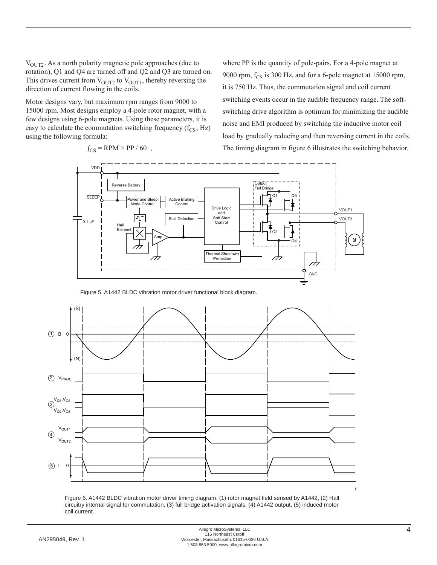$V<sub>OUT2</sub>$ . As a north polarity magnetic pole approaches (due to rotation), Q1 and Q4 are turned off and Q2 and Q3 are turned on. This drives current from  $V_{\text{OUT2}}$  to  $V_{\text{OUT1}}$ , thereby reversing the direction of current flowing in the coils.

Motor designs vary, but maximum rpm ranges from 9000 to 15000 rpm. Most designs employ a 4-pole rotor magnet, with a few designs using 6-pole magnets. Using these parameters, it is easy to calculate the commutation switching frequency  $(f_{CS}, Hz)$ using the following formula:

VDD Output Reverse Battery Full Bridge Q1 Q3 SLEEP Power and Sleep Active Braking Mode Control Control Drive Logic VOUT1 and Soft Start Stall Detection VOUT2 0.1 μF Control Hall Element Q2 Am p M Q4 Thermal Shutdown Protection GND 

$$
f_{\rm CS} = \text{RPM} \times \text{PP} / 60 ,
$$

where PP is the quantity of pole-pairs. For a 4-pole magnet at 9000 rpm,  $f_{CS}$  is 300 Hz, and for a 6-pole magnet at 15000 rpm, it is 750 Hz. Thus, the commutation signal and coil current switching events occur in the audible frequency range. The softswitching drive algorithm is optimum for minimizing the audible noise and EMI produced by switching the inductive motor coil load by gradually reducing and then reversing current in the coils. The timing diagram in figure 6 illustrates the switching behavior.

Figure 5. A1442 BLDC vibration motor driver functional block diagram.



Figure 6. A1442 BLDC vibration motor driver timing diagram. (1) rotor magnet field sensed by A1442, (2) Hall circuitry internal signal for commutation, (3) full bridge activation signals, (4) A1442 output, (5) induced motor coil current.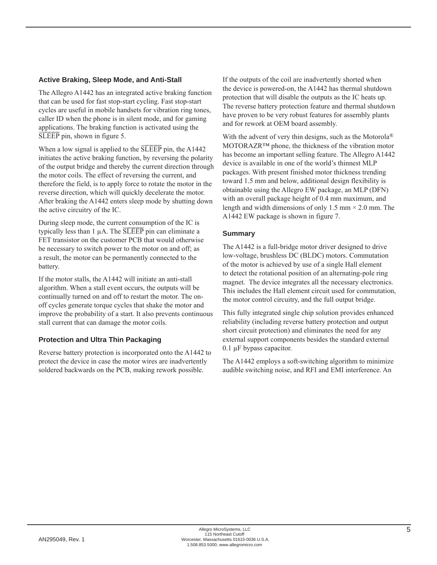## **Active Braking, Sleep Mode, and Anti-Stall**

The Allegro A1442 has an integrated active braking function that can be used for fast stop-start cycling. Fast stop-start cycles are useful in mobile handsets for vibration ring tones, caller ID when the phone is in silent mode, and for gaming applications. The braking function is activated using the  $\overline{\text{SLEEP}}$  pin, shown in figure 5.

When a low signal is applied to the  $\overline{\text{SLEEP}}$  pin, the A1442 initiates the active braking function, by reversing the polarity of the output bridge and thereby the current direction through the motor coils. The effect of reversing the current, and therefore the field, is to apply force to rotate the motor in the reverse direction, which will quickly decelerate the motor. After braking the A1442 enters sleep mode by shutting down the active circuitry of the IC.

During sleep mode, the current consumption of the IC is typically less than 1  $\mu$ A. The  $\overline{\text{SLEEP}}$  pin can eliminate a FET transistor on the customer PCB that would otherwise be necessary to switch power to the motor on and off; as a result, the motor can be permanently connected to the battery.

If the motor stalls, the A1442 will initiate an anti-stall algorithm. When a stall event occurs, the outputs will be continually turned on and off to restart the motor. The onoff cycles generate torque cycles that shake the motor and improve the probability of a start. It also prevents continuous stall current that can damage the motor coils.

## **Protection and Ultra Thin Packaging**

Reverse battery protection is incorporated onto the A1442 to protect the device in case the motor wires are inadvertently soldered backwards on the PCB, making rework possible.

If the outputs of the coil are inadvertently shorted when the device is powered-on, the A1442 has thermal shutdown protection that will disable the outputs as the IC heats up. The reverse battery protection feature and thermal shutdown have proven to be very robust features for assembly plants and for rework at OEM board assembly.

With the advent of very thin designs, such as the Motorola<sup>®</sup> MOTORAZR™ phone, the thickness of the vibration motor has become an important selling feature. The Allegro A1442 device is available in one of the world's thinnest MLP packages. With present finished motor thickness trending toward 1.5 mm and below, additional design flexibility is obtainable using the Allegro EW package, an MLP (DFN) with an overall package height of 0.4 mm maximum, and length and width dimensions of only 1.5 mm  $\times$  2.0 mm. The A1442 EW package is shown in figure 7.

## **Summary**

The A1442 is a full-bridge motor driver designed to drive low-voltage, brushless DC (BLDC) motors. Commutation of the motor is achieved by use of a single Hall element to detect the rotational position of an alternating-pole ring magnet. The device integrates all the necessary electronics. This includes the Hall element circuit used for commutation, the motor control circuitry, and the full output bridge.

This fully integrated single chip solution provides enhanced reliability (including reverse battery protection and output short circuit protection) and eliminates the need for any external support components besides the standard external 0.1 μF bypass capacitor.

The A1442 employs a soft-switching algorithm to minimize audible switching noise, and RFI and EMI interference. An